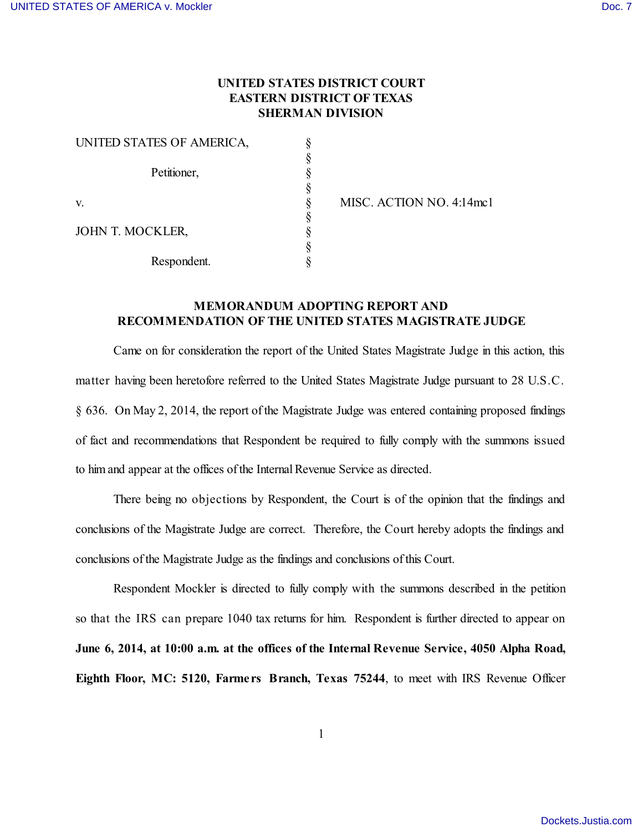## **UNITED STATES DISTRICT COURT EASTERN DISTRICT OF TEXAS SHERMAN DIVISION**

| UNITED STATES OF AMERICA, |  |
|---------------------------|--|
|                           |  |
| Petitioner,               |  |
|                           |  |
| V.                        |  |
|                           |  |
| JOHN T. MOCKLER,          |  |
|                           |  |
| Respondent.               |  |

 $\S$  MISC. ACTION NO. 4:14mc1

## **MEMORANDUM ADOPTING REPORT AND RECOMMENDATION OF THE UNITED STATES MAGISTRATE JUDGE**

Came on for consideration the report of the United States Magistrate Judge in this action, this matter having been heretofore referred to the United States Magistrate Judge pursuant to 28 U.S.C. § 636. On May 2, 2014, the report of the Magistrate Judge was entered containing proposed findings of fact and recommendations that Respondent be required to fully comply with the summons issued to him and appear at the offices of the Internal Revenue Service as directed.

There being no objections by Respondent, the Court is of the opinion that the findings and conclusions of the Magistrate Judge are correct. Therefore, the Court hereby adopts the findings and conclusions of the Magistrate Judge as the findings and conclusions of this Court.

Respondent Mockler is directed to fully comply with the summons described in the petition so that the IRS can prepare 1040 tax returns for him. Respondent is further directed to appear on **June 6, 2014, at 10:00 a.m. at the offices of the Internal Revenue Service, 4050 Alpha Road, Eighth Floor, MC: 5120, Farme rs Branch, Texas 75244**, to meet with IRS Revenue Officer